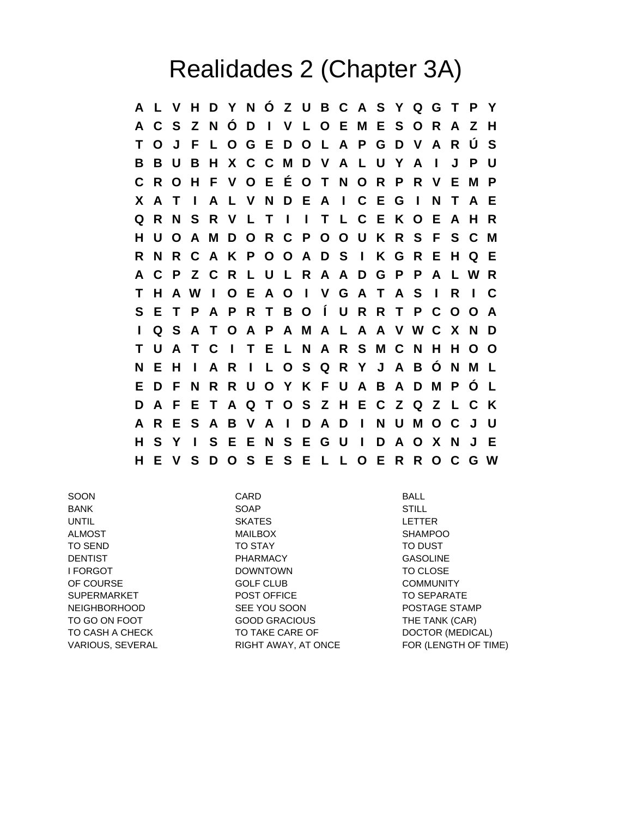## Realidades 2 (Chapter 3A)

**A L V H D Y N Ó Z U B C A S Y Q G T P Y A C S Z N Ó D I V L O E M E S O R A Z H T O J F L O G E D O L A P G D V A R Ú S B B U B H X C C M D V A L U Y A I J P U C R O H F V O E É O T N O R P R V E M P X A T I A L V N D E A I C E G I N T A E Q R N S R V L T I I T L C E K O E A H R H U O A M D O R C P O O U K R S F S C M R N R C A K P O O A D S I K G R E H Q E A C P Z C R L U L R A A D G P P A L W R T H A W I O E A O I V G A T A S I R I C S E T P A P R T B O Í U R R T P C O O A I Q S A T O A P A M A L A A V W C X N D T U A T C I T E L N A R S M C N H H O O N E H I A R I L O S Q R Y J A B Ó N M L E D F N R R U O Y K F U A B A D M P Ó L D A F E T A Q T O S Z H E C Z Q Z L C K A R E S A B V A I D A D I N U M O C J U H S Y I S E E N S E G U I D A O X N J E H E V S D O S E S E L L O E R R O C G W**

SOON CARD BALL BANK SOAP STILL UNTIL SKATES LETTER ALMOST **MAILBOX** MAILBOX SHAMPOO TO SEND TO STAY TO DUST DENTIST **EXAMPLE 20 INCREASE PHARMACY CASOLINE** I FORGOT TO CLOSE TO CLOSE TO CLOSE OF COURSE GOLF CLUB COMMUNITY SUPERMARKET POST OFFICE TO SEPARATE NEIGHBORHOOD SEE YOU SOON POSTAGE STAMP TO GO ON FOOT GOOD GRACIOUS THE TANK (CAR) TO CASH A CHECK TO TAKE CARE OF DOCTOR (MEDICAL)

VARIOUS, SEVERAL **RIGHT AWAY, AT ONCE** FOR (LENGTH OF TIME)